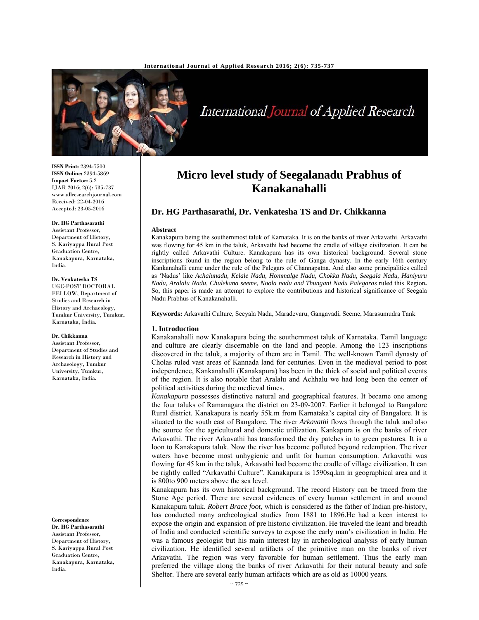

International Journal of Applied Research

**ISSN Print:** 2394-7500 **ISSN Online:** 2394-5869 **Impact Factor:** 5.2 IJAR 2016; 2(6): 735-737 www.allresearchjournal.com Received: 22-04-2016 Accepted: 23-05-2016

# **Dr. HG Parthasarathi**

Assistant Professor, Department of History, S. Kariyappa Rural Post Graduation Centre, Kanakapura, Karnataka, India.

## **Dr. Venkatesha TS**

UGC-POST DOCTORAL FELLOW, Department of Studies and Research in History and Archaeology, Tumkur University, Tumkur, Karnataka, India.

## **Dr. Chikkanna**

Assistant Professor, Department of Studies and Research in History and Archaeology, Tumkur University, Tumkur, Karnataka, India.

#### **Correspondence**

**Dr. HG Parthasarathi**  Assistant Professor, Department of History, S. Kariyappa Rural Post Graduation Centre, Kanakapura, Karnataka, India.

# **Micro level study of Seegalanadu Prabhus of Kanakanahalli**

# **Dr. HG Parthasarathi, Dr. Venkatesha TS and Dr. Chikkanna**

### **Abstract**

Kanakapura being the southernmost taluk of Karnataka. It is on the banks of river Arkavathi. Arkavathi was flowing for 45 km in the taluk, Arkavathi had become the cradle of village civilization. It can be rightly called Arkavathi Culture. Kanakapura has its own historical background. Several stone inscriptions found in the region belong to the rule of Ganga dynasty. In the early 16th century Kankanahalli came under the rule of the Palegars of Channapatna. And also some principalities called as 'Nadus' like *Achalunadu, Kelale Nadu, Hommalge Nadu, Chokka Nadu, Seegala Nadu, Haniyuru Nadu, Aralalu Nadu, Chulekana seeme, Noola nadu and Thungani Nadu Palegaras* ruled this Region**.**  So, this paper is made an attempt to explore the contributions and historical significance of Seegala Nadu Prabhus of Kanakanahalli.

**Keywords:** Arkavathi Culture, Seeyala Nadu, Maradevaru, Gangavadi, Seeme, Marasumudra Tank

## **1. Introduction**

Kanakanahalli now Kanakapura being the southernmost taluk of Karnataka. Tamil language and culture are clearly discernable on the land and people. Among the 123 inscriptions discovered in the taluk, a majority of them are in Tamil. The well-known Tamil dynasty of Cholas ruled vast areas of Kannada land for centuries. Even in the medieval period to post independence, Kankanahalli (Kanakapura) has been in the thick of social and political events of the region. It is also notable that Aralalu and Achhalu we had long been the center of political activities during the medieval times.

*Kanakapura* possesses distinctive natural and geographical features. It became one among the four taluks of Ramanagara the district on 23-09-2007. Earlier it belonged to Bangalore Rural district. Kanakapura is nearly 55k.m from Karnataka's capital city of Bangalore. It is situated to the south east of Bangalore. The river *Arkavathi* flows through the taluk and also the source for the agricultural and domestic utilization. Kankapura is on the banks of river Arkavathi. The river Arkavathi has transformed the dry patches in to green pastures. It is a loon to Kanakapura taluk. Now the river has become polluted beyond redemption. The river waters have become most unhygienic and unfit for human consumption. Arkavathi was flowing for 45 km in the taluk, Arkavathi had become the cradle of village civilization. It can be rightly called "Arkavathi Culture". Kanakapura is 1590sq.km in geographical area and it is 800to 900 meters above the sea level.

Kanakapura has its own historical background. The record History can be traced from the Stone Age period. There are several evidences of every human settlement in and around Kanakapura taluk. *Robert Brace foot*, which is considered as the father of Indian pre-history, has conducted many archeological studies from 1881 to 1896.He had a keen interest to expose the origin and expansion of pre historic civilization. He traveled the leant and breadth of India and conducted scientific surveys to expose the early man's civilization in India. He was a famous geologist but his main interest lay in archeological analysis of early human civilization. He identified several artifacts of the primitive man on the banks of river Arkavathi. The region was very favorable for human settlement. Thus the early man preferred the village along the banks of river Arkavathi for their natural beauty and safe Shelter. There are several early human artifacts which are as old as 10000 years.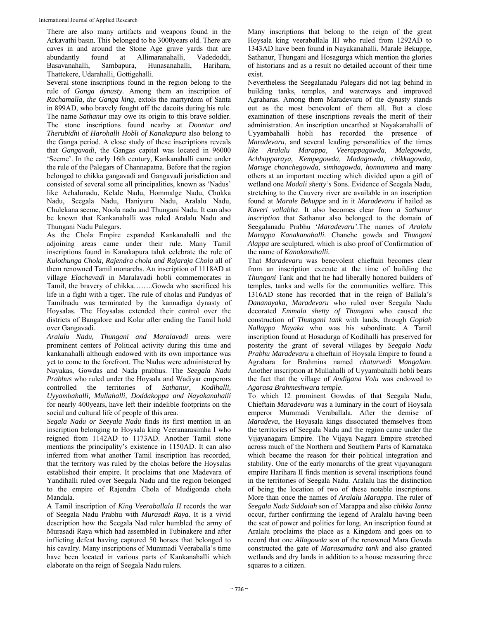There are also many artifacts and weapons found in the Arkavathi basin. This belonged to be 3000years old. There are caves in and around the Stone Age grave yards that are abundantly found at Allimaranahalli, Vadedoddi, Basavanahalli, Sambapura, Hunasanahalli, Harihara, Thattekere, Udarahalli, Gottigehalli.

Several stone inscriptions found in the region belong to the rule of *Ganga dynasty.* Among them an inscription of *Rachamalla, the Ganga king*, extols the martyrdom of Santa in 899AD, who bravely fought off the dacoits during his rule. The name *Sathanur* may owe its origin to this brave soldier. The stone inscriptions found nearby at *Doontur and Therubidhi* of *Harohalli Hobli of Kanakapura* also belong to the Ganga period. A close study of these inscriptions reveals that *Gangavadi*, the Gangas capital was located in 96000 'Seeme'. In the early 16th century, Kankanahalli came under the rule of the Palegars of Channapatna. Before that the region belonged to chikka gangavadi and Gangavadi jurisdiction and consisted of several some all principalities, known as 'Nadus' like Achalunadu, Kelale Nadu, Hommalge Nadu, Chokka Nadu, Seegala Nadu, Haniyuru Nadu, Aralalu Nadu, Chulekana seeme, Noola nadu and Thungani Nadu. It can also be known that Kankanahalli was ruled Aralalu Nadu and Thungani Nadu Palegars.

As the Chola Empire expanded Kankanahalli and the adjoining areas came under their rule. Many Tamil inscriptions found in Kanakapura taluk celebrate the rule of *Kulothunga Chola, Rajendra chola and Rajaraja Chola* all of them renowned Tamil monarchs. An inscription of 1118AD at village *Elachavadi* in Maralavadi hobli commemorates in Tamil, the bravery of chikka……..Gowda who sacrificed his life in a fight with a tiger. The rule of cholas and Pandyas of Tamilnadu was terminated by the kannadiga dynasty of Hoysalas. The Hoysalas extended their control over the districts of Bangalore and Kolar after ending the Tamil hold over Gangavadi.

*Aralalu Nadu, Thungani and Maralavadi* areas were prominent centers of Political activity during this time and kankanahalli although endowed with its own importance was yet to come to the forefront. The Nadus were administered by Nayakas, Gowdas and Nada prabhus. The *Seegala Nadu Prabhus* who ruled under the Hoysala and Wadiyar emperors controlled the territories of *Sathanur, Kodihalli, Uyyambahalli, Mullahalli, Doddakoppa and Nayakanahalli* for nearly 400years, have left their indelible footprints on the social and cultural life of people of this area.

*Segala Nadu or Seeyala Nadu* finds its first mention in an inscription belonging to Hoysala king Veeranarasimha I who reigned from 1142AD to 1173AD. Another Tamil stone mentions the principality's existence in 1150AD. It can also inferred from what another Tamil inscription has recorded, that the territory was ruled by the cholas before the Hoysalas established their empire. It proclaims that one Madevara of Yandihalli ruled over Seegala Nadu and the region belonged to the empire of Rajendra Chola of Mudigonda chola Mandala.

A Tamil inscription of *King Veeraballala II* records the war of Seegala Nadu Prabhu with *Murasadi Raya*. It is a vivid description how the Seegala Nad ruler humbled the army of Murasadi Raya which had assembled in Tubinakere and after inflicting defeat having captured 50 horses that belonged to his cavalry. Many inscriptions of Mummadi Veeraballa's time have been located in various parts of Kankanahalli which elaborate on the reign of Seegala Nadu rulers.

Many inscriptions that belong to the reign of the great Hoysala king veeraballala III who ruled from 1292AD to 1343AD have been found in Nayakanahalli, Marale Bekuppe, Sathanur, Thungani and Hosagurga which mention the glories of historians and as a result no detailed account of their time exist.

Nevertheless the Seegalanadu Palegars did not lag behind in building tanks, temples, and waterways and improved Agraharas. Among them Maradevaru of the dynasty stands out as the most benevolent of them all. But a close examination of these inscriptions reveals the merit of their administration. An inscription unearthed at Nayakanahalli of Uyyambahalli hobli has recorded the presence of *Maradevaru*, and several leading personalities of the times *like Aralalu Marappa, Veerappagowda, Malegowda, Achhapparaya, Kempegowda, Madagowda, chikkagowda, Maruge chanchegowda, simhagowda, honnamma* and many others at an important meeting which divided upon a gift of wetland one *Modali shetty's* Sons. Evidence of Seegala Nadu, stretching to the Cauvery river are available in an inscription found at *Marale Bekuppe* and in it *Maradevaru* if hailed as *Kaveri vallabha*. It also becomes clear from *a Sathanur inscription* that Sathanur also belonged to the domain of Seegalanadu Prabhu '*Maradevaru'*.The names of *Aralalu Marappa Kanakanahalli*. Chanche gowda and *Thungani Alappa* are sculptured, which is also proof of Confirmation of the name of *Kanakanahalli.*

That *Maradevar*u was benevolent chieftain becomes clear from an inscription execute at the time of building the *Thungani* Tank and that he had liberally honored builders of temples, tanks and wells for the communities welfare. This 1316AD stone has recorded that in the reign of Ballala's *Dananayaka, Maradevaru* who ruled over Seegala Nadu decorated *Emmala shetty of Thungani* who caused the construction of *Thungani tank* with lands, through *Gopiah Nallappa Nayaka* who was his subordinate. A Tamil inscription found at Hosadurga of Kodihalli has preserved for posterity the grant of several villages by *Seegala Nadu Prabhu Maradevaru* a chieftain of Hoysala Empire to found a Agrahara for Brahmins named *chaturvedi Mangalam*. Another inscription at Mullahalli of Uyyambahalli hobli bears the fact that the village of *Andigana Volu* was endowed to *Agarasa Brahmeshwara temple*.

To which 12 prominent Gowdas of that Seegala Nadu, Chieftain *Maradevaru* was a luminary in the court of Hoysala emperor Mummadi Veraballala. After the demise of *Maradeva*, the Hoyasala kings dissociated themselves from the territories of Seegala Nadu and the region came under the Vijayanagara Empire. The Vijaya Nagara Empire stretched across much of the Northern and Southern Parts of Karnataka which became the reason for their political integration and stability. One of the early monarchs of the great vijayanagara empire Harihara II finds mention is several inscriptions found in the territories of Seegala Nadu. Aralalu has the distinction of being the location of two of these notable inscriptions. More than once the names of *Aralalu Marappa*. The ruler of *Seegala Nadu Siddaiah* son of Marappa and also *chikka Ianna* occur, further confirming the legend of Aralalu having been the seat of power and politics for long. An inscription found at Aralalu proclaims the place as a Kingdom and goes on to record that one *Allagowda* son of the renowned Mara Gowda constructed the gate of *Marasamudra tank* and also granted wetlands and dry lands in addition to a house measuring three squares to a citizen.